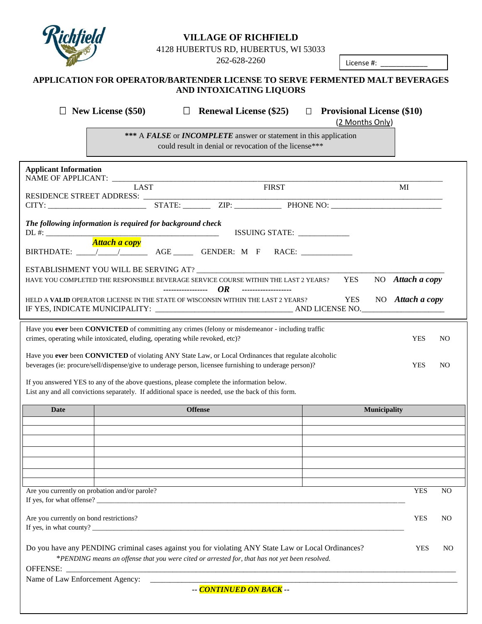

## **VILLAGE OF RICHFIELD**

4128 HUBERTUS RD, HUBERTUS, WI 53033

262-628-2260

License #: \_\_\_\_\_\_\_\_\_\_\_\_

#### **APPLICATION FOR OPERATOR/BARTENDER LICENSE TO SERVE FERMENTED MALT BEVERAGES AND INTOXICATING LIQUORS**

 **New License (\$50) Renewal License (\$25) Provisional License (\$10)**

(2 Months Only)

**\*\*\*** A *FALSE* or *INCOMPLETE* answer or statement in this application could result in denial or revocation of the license\*\*\*

| <b>Applicant Information</b>                                                                                                                                                                                   |                                                                                                |  |                         |  |  |                              |                     |                  |     |  |
|----------------------------------------------------------------------------------------------------------------------------------------------------------------------------------------------------------------|------------------------------------------------------------------------------------------------|--|-------------------------|--|--|------------------------------|---------------------|------------------|-----|--|
| NAME OF APPLICANT: LAST                                                                                                                                                                                        |                                                                                                |  | <b>FIRST</b>            |  |  |                              |                     | MI               |     |  |
| RESIDENCE STREET ADDRESS: ____                                                                                                                                                                                 |                                                                                                |  |                         |  |  |                              |                     |                  |     |  |
| The following information is required for background check                                                                                                                                                     |                                                                                                |  |                         |  |  | ISSUING STATE: _____________ |                     |                  |     |  |
|                                                                                                                                                                                                                | <b>Attach a copy</b>                                                                           |  |                         |  |  |                              |                     |                  |     |  |
|                                                                                                                                                                                                                |                                                                                                |  |                         |  |  |                              |                     |                  |     |  |
|                                                                                                                                                                                                                |                                                                                                |  |                         |  |  |                              |                     |                  |     |  |
| <b>YES</b><br>HAVE YOU COMPLETED THE RESPONSIBLE BEVERAGE SERVICE COURSE WITHIN THE LAST 2 YEARS?<br>OR<br>-----------------<br>-------------------                                                            |                                                                                                |  |                         |  |  |                              | NO Attach a copy    |                  |     |  |
| HELD A VALID OPERATOR LICENSE IN THE STATE OF WISCONSIN WITHIN THE LAST 2 YEARS?                                                                                                                               |                                                                                                |  |                         |  |  |                              | <b>YES</b>          | NO Attach a copy |     |  |
| Have you ever been CONVICTED of committing any crimes (felony or misdemeanor - including traffic<br>crimes, operating while intoxicated, eluding, operating while revoked, etc)?                               |                                                                                                |  |                         |  |  |                              |                     | <b>YES</b>       | NO. |  |
| Have you ever been CONVICTED of violating ANY State Law, or Local Ordinances that regulate alcoholic<br>beverages (ie: procure/sell/dispense/give to underage person, licensee furnishing to underage person)? |                                                                                                |  |                         |  |  |                              |                     | <b>YES</b>       | NO. |  |
|                                                                                                                                                                                                                |                                                                                                |  |                         |  |  |                              |                     |                  |     |  |
| If you answered YES to any of the above questions, please complete the information below.<br>List any and all convictions separately. If additional space is needed, use the back of this form.                |                                                                                                |  |                         |  |  |                              |                     |                  |     |  |
| Date                                                                                                                                                                                                           |                                                                                                |  | <b>Offense</b>          |  |  |                              | <b>Municipality</b> |                  |     |  |
|                                                                                                                                                                                                                |                                                                                                |  |                         |  |  |                              |                     |                  |     |  |
|                                                                                                                                                                                                                |                                                                                                |  |                         |  |  |                              |                     |                  |     |  |
|                                                                                                                                                                                                                |                                                                                                |  |                         |  |  |                              |                     |                  |     |  |
|                                                                                                                                                                                                                |                                                                                                |  |                         |  |  |                              |                     |                  |     |  |
|                                                                                                                                                                                                                |                                                                                                |  |                         |  |  |                              |                     |                  |     |  |
|                                                                                                                                                                                                                |                                                                                                |  |                         |  |  |                              |                     |                  |     |  |
| Are you currently on probation and/or parole?<br>If yes, for what offense?                                                                                                                                     |                                                                                                |  |                         |  |  |                              |                     | <b>YES</b>       | NO  |  |
| Are you currently on bond restrictions?<br>If yes, in what county?                                                                                                                                             |                                                                                                |  |                         |  |  |                              |                     | <b>YES</b>       | NO. |  |
| Do you have any PENDING criminal cases against you for violating ANY State Law or Local Ordinances?                                                                                                            | *PENDING means an offense that you were cited or arrested for, that has not yet been resolved. |  |                         |  |  |                              |                     | <b>YES</b>       | NO  |  |
| OFFENSE:                                                                                                                                                                                                       |                                                                                                |  |                         |  |  |                              |                     |                  |     |  |
| Name of Law Enforcement Agency:                                                                                                                                                                                |                                                                                                |  | -- CONTINUED ON BACK -- |  |  |                              |                     |                  |     |  |